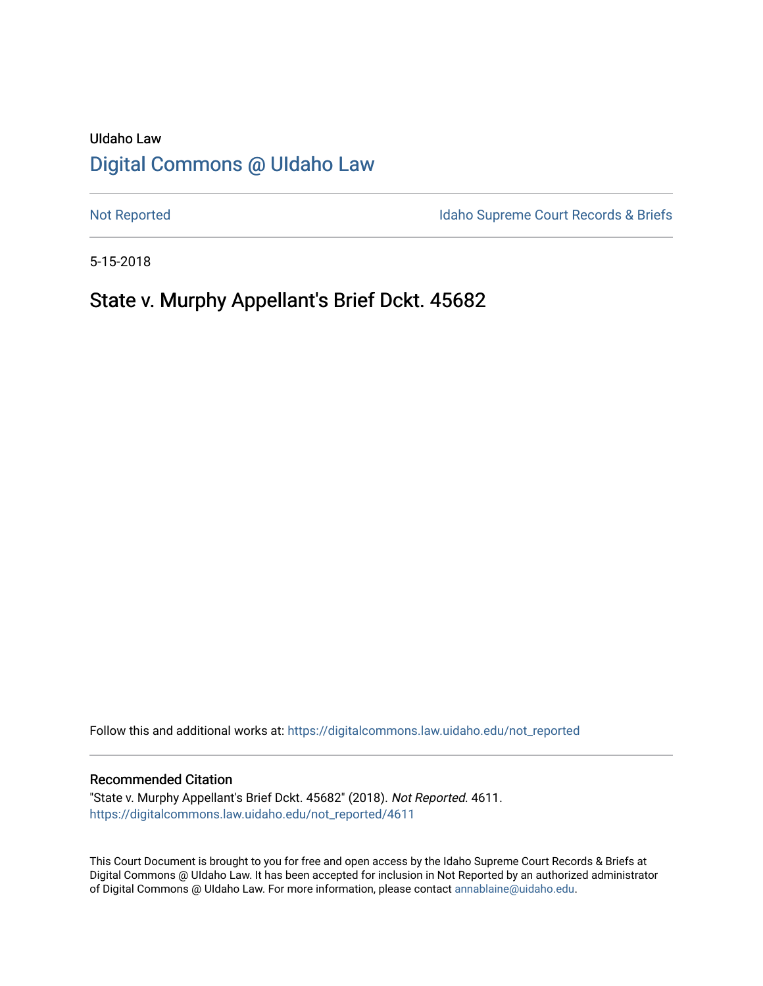# UIdaho Law [Digital Commons @ UIdaho Law](https://digitalcommons.law.uidaho.edu/)

[Not Reported](https://digitalcommons.law.uidaho.edu/not_reported) **Idaho Supreme Court Records & Briefs** 

5-15-2018

# State v. Murphy Appellant's Brief Dckt. 45682

Follow this and additional works at: [https://digitalcommons.law.uidaho.edu/not\\_reported](https://digitalcommons.law.uidaho.edu/not_reported?utm_source=digitalcommons.law.uidaho.edu%2Fnot_reported%2F4611&utm_medium=PDF&utm_campaign=PDFCoverPages) 

#### Recommended Citation

"State v. Murphy Appellant's Brief Dckt. 45682" (2018). Not Reported. 4611. [https://digitalcommons.law.uidaho.edu/not\\_reported/4611](https://digitalcommons.law.uidaho.edu/not_reported/4611?utm_source=digitalcommons.law.uidaho.edu%2Fnot_reported%2F4611&utm_medium=PDF&utm_campaign=PDFCoverPages)

This Court Document is brought to you for free and open access by the Idaho Supreme Court Records & Briefs at Digital Commons @ UIdaho Law. It has been accepted for inclusion in Not Reported by an authorized administrator of Digital Commons @ UIdaho Law. For more information, please contact [annablaine@uidaho.edu](mailto:annablaine@uidaho.edu).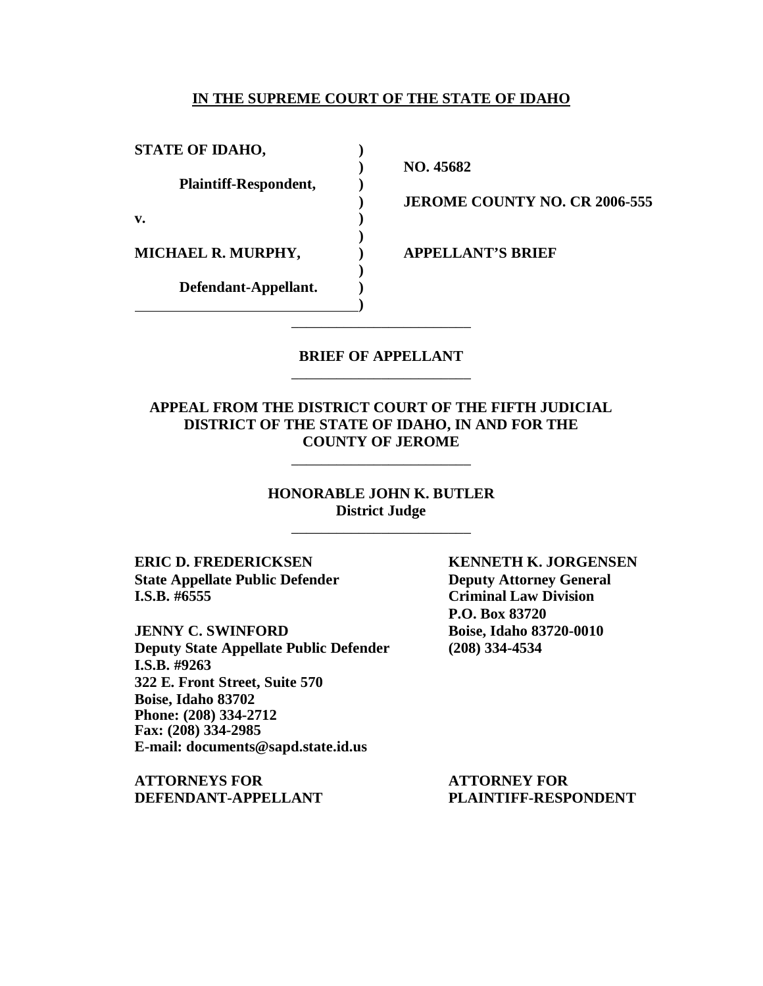### **IN THE SUPREME COURT OF THE STATE OF IDAHO**

**STATE OF IDAHO, )**

**Plaintiff-Respondent, )**

**v. )**

**MICHAEL R. MURPHY, ) APPELLANT'S BRIEF**

**Defendant-Appellant. )**

**) NO. 45682**

**) JEROME COUNTY NO. CR 2006-555**

### **BRIEF OF APPELLANT** \_\_\_\_\_\_\_\_\_\_\_\_\_\_\_\_\_\_\_\_\_\_\_\_

\_\_\_\_\_\_\_\_\_\_\_\_\_\_\_\_\_\_\_\_\_\_\_\_

**)**

**)**

**)**

### **APPEAL FROM THE DISTRICT COURT OF THE FIFTH JUDICIAL DISTRICT OF THE STATE OF IDAHO, IN AND FOR THE COUNTY OF JEROME**

\_\_\_\_\_\_\_\_\_\_\_\_\_\_\_\_\_\_\_\_\_\_\_\_

**HONORABLE JOHN K. BUTLER District Judge**

\_\_\_\_\_\_\_\_\_\_\_\_\_\_\_\_\_\_\_\_\_\_\_\_

**ERIC D. FREDERICKSEN KENNETH K. JORGENSEN State Appellate Public Defender Deputy Attorney General I.S.B. #6555 Criminal Law Division**

**JENNY C. SWINFORD Boise, Idaho 83720-0010 Deputy State Appellate Public Defender (208) 334-4534 I.S.B. #9263 322 E. Front Street, Suite 570 Boise, Idaho 83702 Phone: (208) 334-2712 Fax: (208) 334-2985 E-mail: documents@sapd.state.id.us**

**ATTORNEYS FOR ATTORNEY FOR DEFENDANT-APPELLANT PLAINTIFF-RESPONDENT**

**P.O. Box 83720**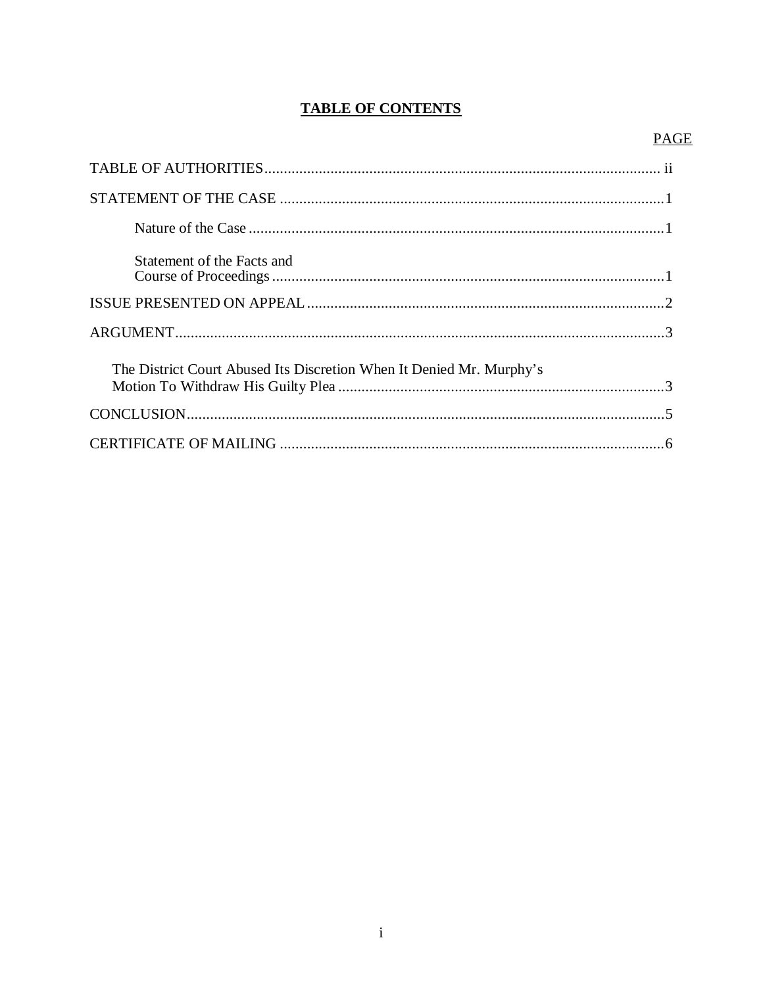## **TABLE OF CONTENTS**

## **PAGE**

| Statement of the Facts and                                           |  |
|----------------------------------------------------------------------|--|
|                                                                      |  |
|                                                                      |  |
| The District Court Abused Its Discretion When It Denied Mr. Murphy's |  |
|                                                                      |  |
|                                                                      |  |
|                                                                      |  |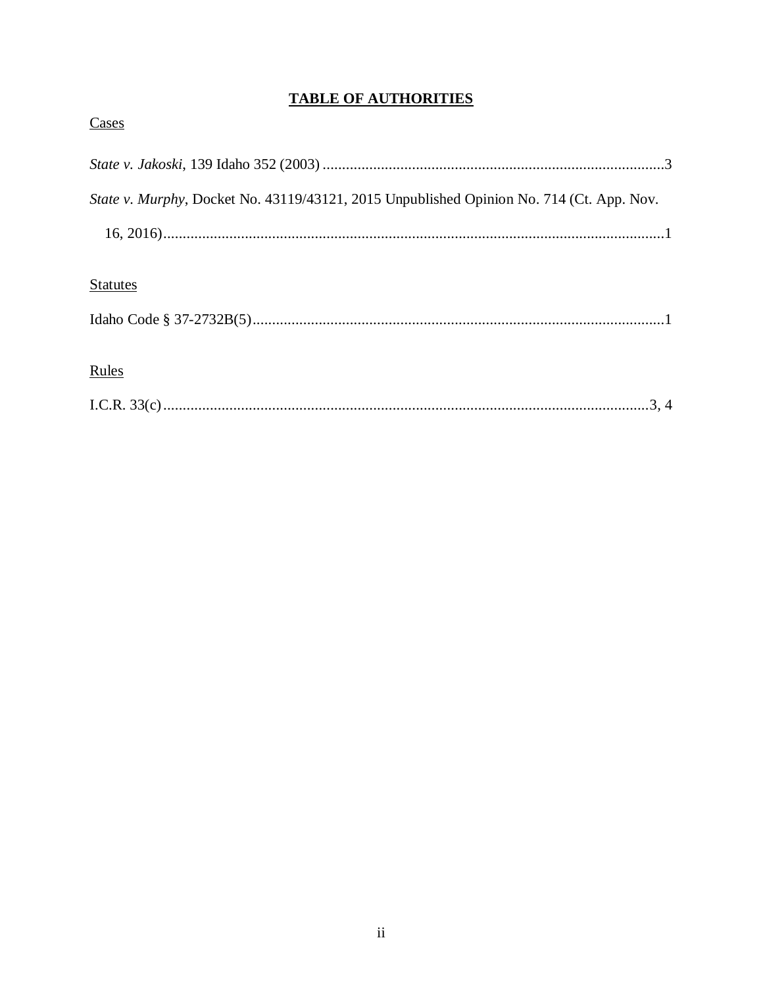## **TABLE OF AUTHORITIES**

| Cases                                                                                    |  |
|------------------------------------------------------------------------------------------|--|
|                                                                                          |  |
| State v. Murphy, Docket No. 43119/43121, 2015 Unpublished Opinion No. 714 (Ct. App. Nov. |  |
|                                                                                          |  |
| <b>Statutes</b>                                                                          |  |
|                                                                                          |  |
| Rules                                                                                    |  |
| 3, 4                                                                                     |  |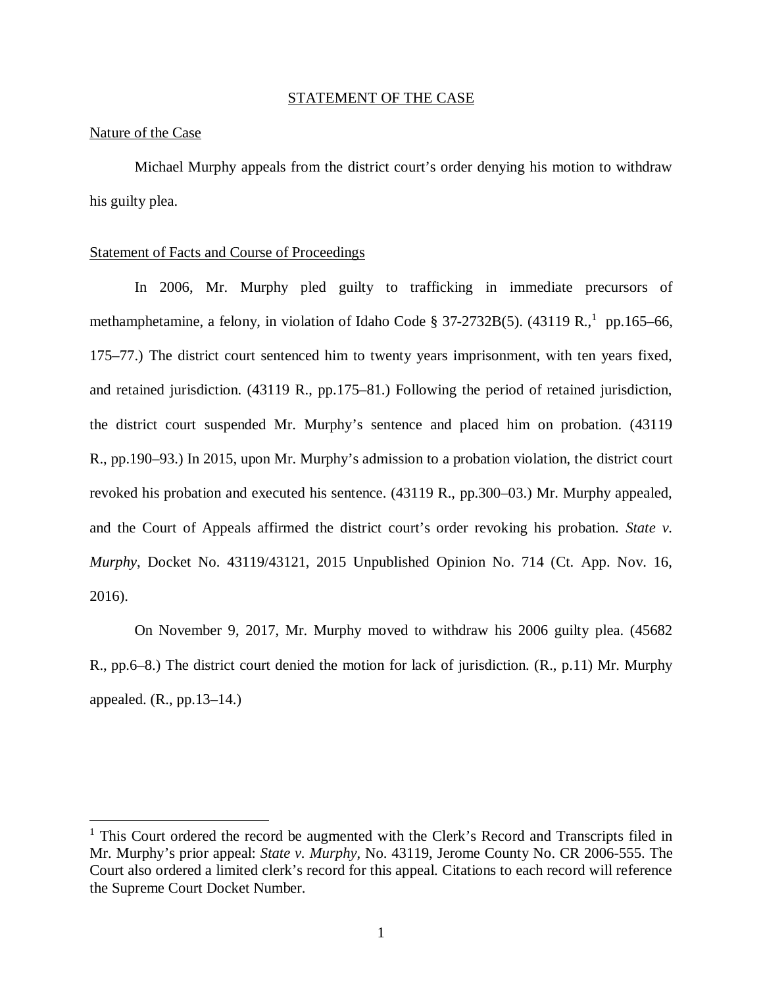#### STATEMENT OF THE CASE

#### Nature of the Case

Michael Murphy appeals from the district court's order denying his motion to withdraw his guilty plea.

#### Statement of Facts and Course of Proceedings

In 2006, Mr. Murphy pled guilty to trafficking in immediate precursors of methamphetamine, a felony, in violation of Idaho Code § 37-2732B(5).  $(43119 R<sup>1</sup>_{1})$  $(43119 R<sup>1</sup>_{1})$  $(43119 R<sup>1</sup>_{1})$  pp.165–66, 175–77.) The district court sentenced him to twenty years imprisonment, with ten years fixed, and retained jurisdiction. (43119 R., pp.175–81.) Following the period of retained jurisdiction, the district court suspended Mr. Murphy's sentence and placed him on probation. (43119 R., pp.190–93.) In 2015, upon Mr. Murphy's admission to a probation violation, the district court revoked his probation and executed his sentence. (43119 R., pp.300–03.) Mr. Murphy appealed, and the Court of Appeals affirmed the district court's order revoking his probation. *State v. Murphy*, Docket No. 43119/43121, 2015 Unpublished Opinion No. 714 (Ct. App. Nov. 16, 2016).

On November 9, 2017, Mr. Murphy moved to withdraw his 2006 guilty plea. (45682 R., pp.6–8.) The district court denied the motion for lack of jurisdiction. (R., p.11) Mr. Murphy appealed.  $(R., pp.13-14.)$ 

<span id="page-4-0"></span><sup>&</sup>lt;sup>1</sup> This Court ordered the record be augmented with the Clerk's Record and Transcripts filed in Mr. Murphy's prior appeal: *State v. Murphy*, No. 43119, Jerome County No. CR 2006-555. The Court also ordered a limited clerk's record for this appeal. Citations to each record will reference the Supreme Court Docket Number.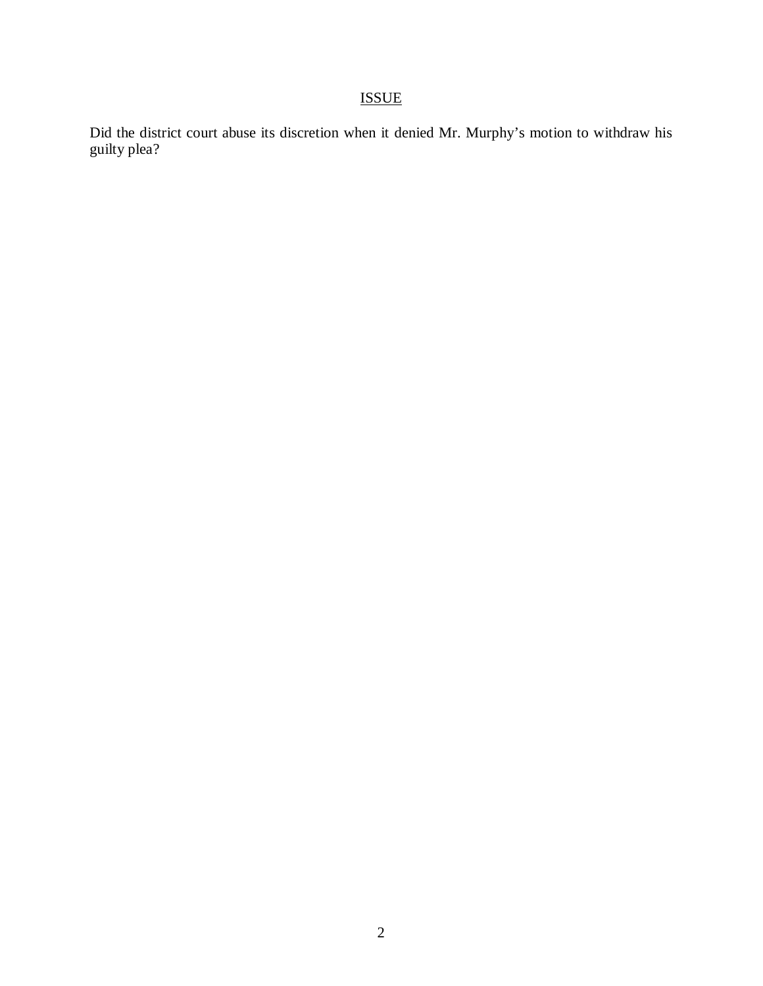# ISSUE

Did the district court abuse its discretion when it denied Mr. Murphy's motion to withdraw his guilty plea?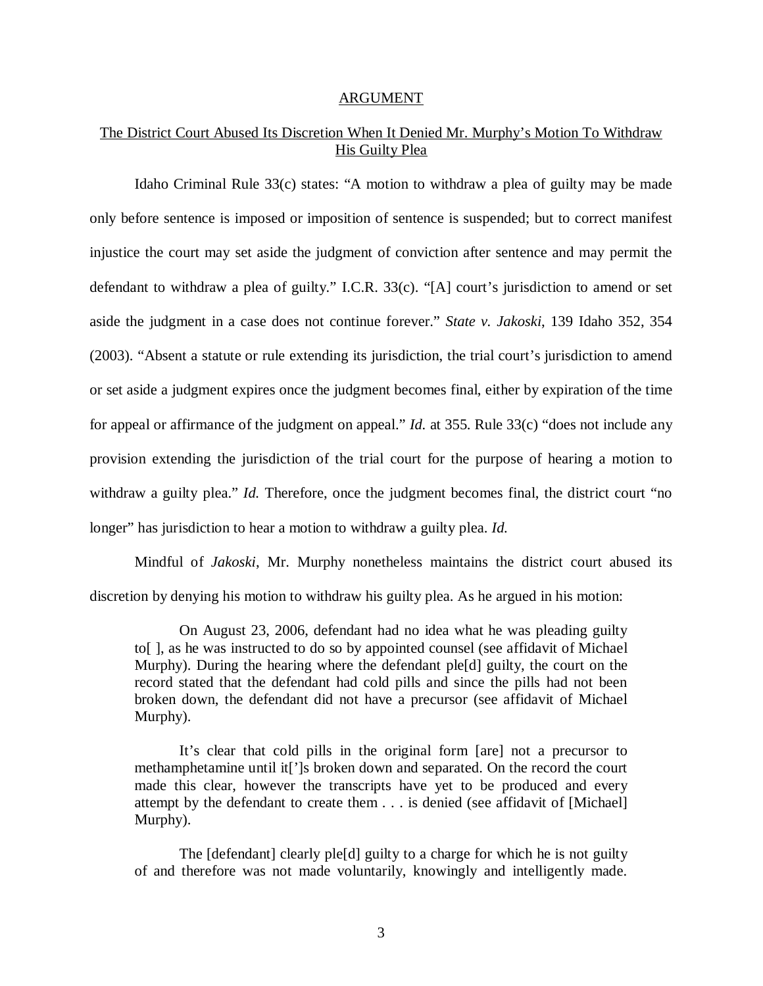#### ARGUMENT

### The District Court Abused Its Discretion When It Denied Mr. Murphy's Motion To Withdraw His Guilty Plea

Idaho Criminal Rule 33(c) states: "A motion to withdraw a plea of guilty may be made only before sentence is imposed or imposition of sentence is suspended; but to correct manifest injustice the court may set aside the judgment of conviction after sentence and may permit the defendant to withdraw a plea of guilty." I.C.R. 33(c). "[A] court's jurisdiction to amend or set aside the judgment in a case does not continue forever." *State v. Jakoski*, 139 Idaho 352, 354 (2003). "Absent a statute or rule extending its jurisdiction, the trial court's jurisdiction to amend or set aside a judgment expires once the judgment becomes final, either by expiration of the time for appeal or affirmance of the judgment on appeal." *Id.* at 355. Rule 33(c) "does not include any provision extending the jurisdiction of the trial court for the purpose of hearing a motion to withdraw a guilty plea." *Id.* Therefore, once the judgment becomes final, the district court "no longer" has jurisdiction to hear a motion to withdraw a guilty plea. *Id.* 

Mindful of *Jakoski*, Mr. Murphy nonetheless maintains the district court abused its discretion by denying his motion to withdraw his guilty plea. As he argued in his motion:

On August 23, 2006, defendant had no idea what he was pleading guilty to[ ], as he was instructed to do so by appointed counsel (see affidavit of Michael Murphy). During the hearing where the defendant ple[d] guilty, the court on the record stated that the defendant had cold pills and since the pills had not been broken down, the defendant did not have a precursor (see affidavit of Michael Murphy).

It's clear that cold pills in the original form [are] not a precursor to methamphetamine until it[']s broken down and separated. On the record the court made this clear, however the transcripts have yet to be produced and every attempt by the defendant to create them . . . is denied (see affidavit of [Michael] Murphy).

The [defendant] clearly ple[d] guilty to a charge for which he is not guilty of and therefore was not made voluntarily, knowingly and intelligently made.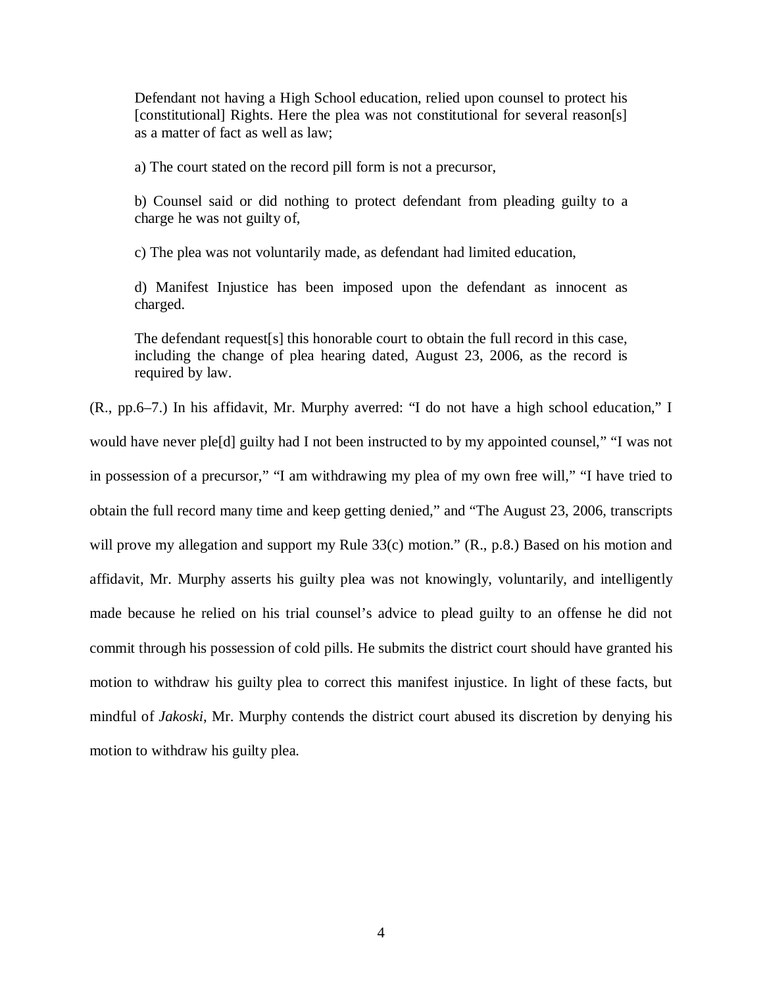Defendant not having a High School education, relied upon counsel to protect his [constitutional] Rights. Here the plea was not constitutional for several reason[s] as a matter of fact as well as law;

a) The court stated on the record pill form is not a precursor,

b) Counsel said or did nothing to protect defendant from pleading guilty to a charge he was not guilty of,

c) The plea was not voluntarily made, as defendant had limited education,

d) Manifest Injustice has been imposed upon the defendant as innocent as charged.

The defendant request[s] this honorable court to obtain the full record in this case, including the change of plea hearing dated, August 23, 2006, as the record is required by law.

(R., pp.6–7.) In his affidavit, Mr. Murphy averred: "I do not have a high school education," I would have never ple[d] guilty had I not been instructed to by my appointed counsel," "I was not in possession of a precursor," "I am withdrawing my plea of my own free will," "I have tried to obtain the full record many time and keep getting denied," and "The August 23, 2006, transcripts will prove my allegation and support my Rule 33(c) motion." (R., p.8.) Based on his motion and affidavit, Mr. Murphy asserts his guilty plea was not knowingly, voluntarily, and intelligently made because he relied on his trial counsel's advice to plead guilty to an offense he did not commit through his possession of cold pills. He submits the district court should have granted his motion to withdraw his guilty plea to correct this manifest injustice. In light of these facts, but mindful of *Jakoski*, Mr. Murphy contends the district court abused its discretion by denying his motion to withdraw his guilty plea.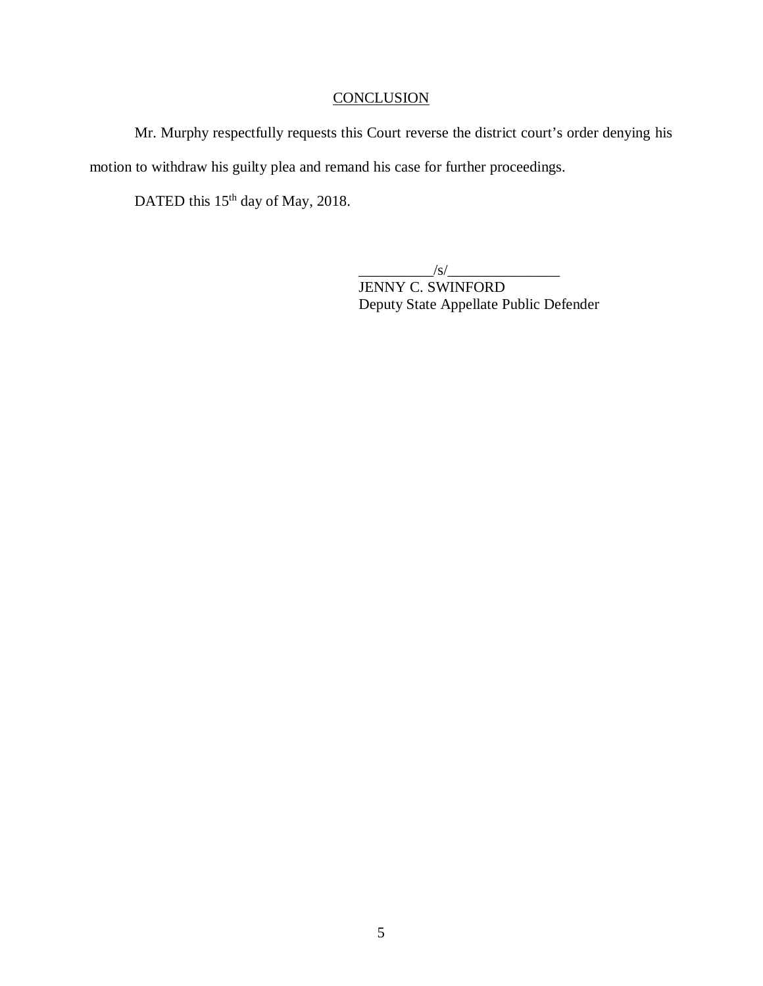## **CONCLUSION**

Mr. Murphy respectfully requests this Court reverse the district court's order denying his motion to withdraw his guilty plea and remand his case for further proceedings.

DATED this 15<sup>th</sup> day of May, 2018.

 $\frac{1}{s}$  /s/ $\frac{1}{s}$ 

JENNY C. SWINFORD Deputy State Appellate Public Defender